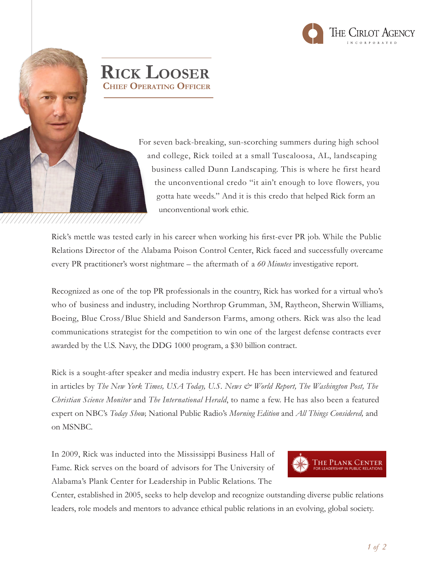



For seven back-breaking, sun-scorching summers during high school and college, Rick toiled at a small Tuscaloosa, AL, landscaping business called Dunn Landscaping. This is where he first heard the unconventional credo "it ain't enough to love flowers, you gotta hate weeds." And it is this credo that helped Rick form an unconventional work ethic.

Rick's mettle was tested early in his career when working his first-ever PR job. While the Public Relations Director of the Alabama Poison Control Center, Rick faced and successfully overcame every PR practitioner's worst nightmare – the aftermath of a *60 Minutes* investigative report.

Recognized as one of the top PR professionals in the country, Rick has worked for a virtual who's who of business and industry, including Northrop Grumman, 3M, Raytheon, Sherwin Williams, Boeing, Blue Cross/Blue Shield and Sanderson Farms, among others. Rick was also the lead communications strategist for the competition to win one of the largest defense contracts ever awarded by the U.S. Navy, the DDG 1000 program, a \$30 billion contract.

Rick is a sought-after speaker and media industry expert. He has been interviewed and featured in articles by *The New York Times, USA Today, U.S. News & World Report, The Washington Post, The Christian Science Monitor* and *The International Herald*, to name a few. He has also been a featured expert on NBC's *Today Show,* National Public Radio's *Morning Edition* and *All Things Considered,* and on MSNBC.

In 2009, Rick was inducted into the Mississippi Business Hall of Fame. Rick serves on the board of advisors for The University of Alabama's Plank Center for Leadership in Public Relations. The



Center, established in 2005, seeks to help develop and recognize outstanding diverse public relations leaders, role models and mentors to advance ethical public relations in an evolving, global society.